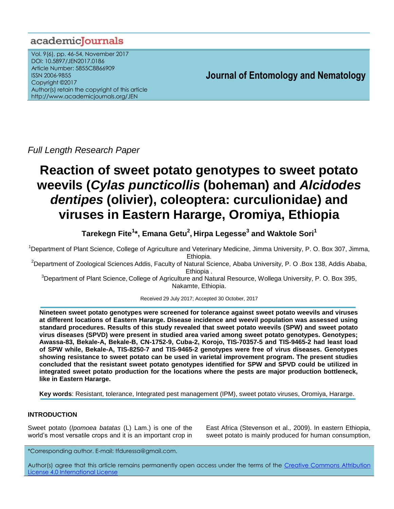# academicJournals

Vol. 9(6), pp. 46-54, November 2017 DOI: 10.5897/JEN2017.0186 Article Number: 5855C8866909 ISSN 2006-9855 Copyright ©2017 Author(s) retain the copyright of this article http://www.academicjournals.org/JEN

**Journal of Entomology and Nematology**

*Full Length Research Paper*

# **Reaction of sweet potato genotypes to sweet potato weevils (***Cylas puncticollis* **(boheman) and** *Alcidodes dentipes* **(olivier), coleoptera: curculionidae) and viruses in Eastern Hararge, Oromiya, Ethiopia**

**Tarekegn Fite<sup>1</sup> \*, Emana Getu<sup>2</sup> , Hirpa Legesse<sup>3</sup> and Waktole Sori<sup>1</sup>**

<sup>1</sup>Department of Plant Science, College of Agriculture and Veterinary Medicine, Jimma University, P. O. Box 307, Jimma, Ethiopia.

<sup>2</sup>Department of Zoological Sciences Addis, Faculty of Natural Science, Ababa University, P. O .Box 138, Addis Ababa, Ethiopia .

<sup>3</sup>Department of Plant Science, College of Agriculture and Natural Resource, Wollega University, P. O. Box 395, Nakamte, Ethiopia.

Received 29 July 2017; Accepted 30 October, 2017

**Nineteen sweet potato genotypes were screened for tolerance against sweet potato weevils and viruses at different locations of Eastern Hararge. Disease incidence and weevil population was assessed using standard procedures. Results of this study revealed that sweet potato weevils (SPW) and sweet potato virus diseases (SPVD) were present in studied area varied among sweet potato genotypes. Genotypes; Awassa-83, Bekale-A, Bekale-B, CN-1752-9, Cuba-2, Korojo, TIS-70357-5 and TIS-9465-2 had least load of SPW while, Bekale-A, TIS-8250-7 and TIS-9465-2 genotypes were free of virus diseases. Genotypes showing resistance to sweet potato can be used in varietal improvement program. The present studies concluded that the resistant sweet potato genotypes identified for SPW and SPVD could be utilized in integrated sweet potato production for the locations where the pests are major production bottleneck, like in Eastern Hararge.**

**Key words**: Resistant, tolerance, Integrated pest management (IPM), sweet potato viruses, Oromiya, Hararge.

# **INTRODUCTION**

Sweet potato (*Ipomoea batatas* (L) Lam.) is one of the world's most versatile crops and it is an important crop in East Africa (Stevenson et al., 2009). In eastern Ethiopia, sweet potato is mainly produced for human consumption,

\*Corresponding author. E-mail: tfduressa@gmail.com.

Author(s) agree that this article remains permanently open access under the terms of the [Creative Commons Attribution](http://creativecommons.org/licenses/by/4.0/deed.en_US)  [License 4.0 International](http://creativecommons.org/licenses/by/4.0/deed.en_US) License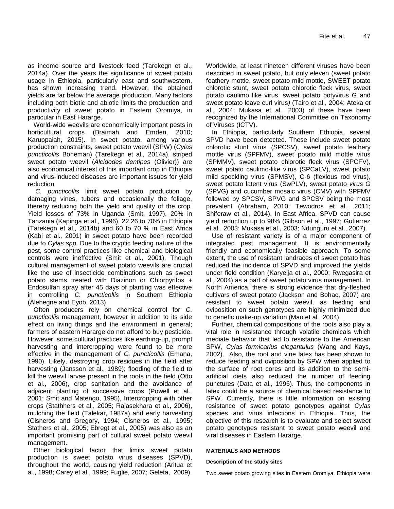as income source and livestock feed (Tarekegn et al*.,* 2014a). Over the years the significance of sweet potato usage in Ethiopia, particularly east and southwestern, has shown increasing trend. However, the obtained yields are far below the average production. Many factors including both biotic and abiotic limits the production and productivity of sweet potato in Eastern Oromiya, in particular in East Hararge.

World-wide weevils are economically important pests in horticultural crops (Braimah and Emden, 2010; Karuppaiah, 2015). In sweet potato, among various production constraints, sweet potato weevil (SPW) (*Cylas puncticollis* Boheman) (Tarekegn et al*.,* 2014a), striped sweet potato weevil (*Alcidodes dentipes* (Olivier)) are also economical interest of this important crop in Ethiopia and virus-induced diseases are important issues for yield reduction.

*C. puncticollis* limit sweet potato production by damaging vines, tubers and occasionally the foliage, thereby reducing both the yield and quality of the crop. Yield losses of 73% in Uganda (Smit, 1997), 20% in Tanzania (Kapinga et al., 1996), 22.26 to 70% in Ethiopia (Tarekegn et al*.,* 2014b) and 60 to 70 % in East Africa (Kabi et al*.,* 2001) in sweet potato have been recorded due to *Cylas spp.* Due to the cryptic feeding nature of the pest, some control practices like chemical and biological controls were ineffective (Smit et al*.,* 2001). Though cultural management of sweet potato weevils are crucial like the use of insecticide combinations such as sweet potato stems treated with Diazinon or Chlorpyrifos + Endosulfan spray after 45 days of planting was effective in controlling *C. puncticollis* in Southern Ethiopia (Alehegne and Eyob, 2013).

Often producers rely on chemical control for *C. puncticollis* management, however in addition to its side effect on living things and the environment in general; farmers of eastern Hararge do not afford to buy pesticide. However, some cultural practices like earthing-up, prompt harvesting and intercropping were found to be more effective in the management of *C. puncticollis* (Emana, 1990). Likely, destroying crop residues in the field after harvesting (Jansson et al., 1989); flooding of the field to kill the weevil larvae present in the roots in the field (Otto et al., 2006), crop sanitation and the avoidance of adjacent planting of successive crops (Powell et al., 2001; Smit and Matengo, 1995), Intercropping with other crops (Stathhers et al., 2005; Rajasekhara et al., 2006), mulching the field (Talekar, 1987a) and early harvesting (Cisneros and Gregory, 1994; Cisneros et al., 1995; Stathers et al., 2005; Ebregt et al., 2005) was also as an important promising part of cultural sweet potato weevil management.

Other biological factor that limits sweet potato production is sweet potato virus diseases (SPVD), throughout the world, causing yield reduction (Aritua et al., 1998; Carey et al., 1999; Fuglie, 2007; Geleta, 2009). Worldwide, at least nineteen different viruses have been described in sweet potato, but only eleven (sweet potato feathery mottle, sweet potato mild mottle, SWEET potato chlorotic stunt, sweet potato chlorotic fleck virus, sweet potato caulimo like virus, sweet potato potyvirus G and sweet potato leave curl virus*)* (Tairo et al., 2004; Ateka et al., 2004; Mukasa et al., 2003) of these have been recognized by the International Committee on Taxonomy of Viruses (ICTV).

In Ethiopia, particularly Southern Ethiopia, several SPVD have been detected. These include sweet potato chlorotic stunt virus (SPCSV), sweet potato feathery mottle virus (SPFMV), sweet potato mild mottle virus (SPMMV), sweet potato chlorotic fleck virus (SPCFV), sweet potato caulimo-like virus (SPCaLV), sweet potato mild speckling virus (SPMSV), C-6 (flexious rod virus), sweet potato latent virus (SwPLV), sweet potato *virus G* (SPVG) and cucumber mosaic virus (CMV) with SPFMV followed by SPCSV, SPVG and SPCSV being the most prevalent (Abraham, 2010; Tewodros et al., 2011; Shiferaw et al., 2014). In East Africa, SPVD can cause yield reduction up to 98% (Gibson et al., 1997; Gutierrez et al., 2003; Mukasa et al., 2003; Ndunguru et al., 2007).

Use of resistant variety is of a major component of integrated pest management. It is environmentally friendly and economically feasible approach. To some extent, the use of resistant landraces of sweet potato has reduced the incidence of SPVD and improved the yields under field condition (Karyeija et al., 2000; Rwegasira et al., 2004) as a part of sweet potato virus management. In North America, there is strong evidence that dry-fleshed cultivars of sweet potato (Jackson and Bohac, 2007) are resistant to sweet potato weevil, as feeding and oviposition on such genotypes are highly minimized due to genetic make-up variation (Mao et al., 2004).

Further, chemical compositions of the roots also play a vital role in resistance through volatile chemicals which mediate behavior that led to resistance to the American SPW, *Cylas formicarius elegantulus* (Wang and Kays, 2002). Also, the root and vine latex has been shown to reduce feeding and oviposition by SPW when applied to the surface of root cores and its addition to the semiartificial diets also reduced the number of feeding punctures (Data et al., 1996). Thus, the components in latex could be a source of chemical based resistance to SPW. Currently, there is little information on existing resistance of sweet potato genotypes against *Cylas* species and virus infections in Ethiopia. Thus, the objective of this research is to evaluate and select sweet potato genotypes resistant to sweet potato weevil and viral diseases in Eastern Hararge.

#### **MATERIALS AND METHODS**

#### **Description of the study sites**

Two sweet potato growing sites in Eastern Oromiya, Ethiopia were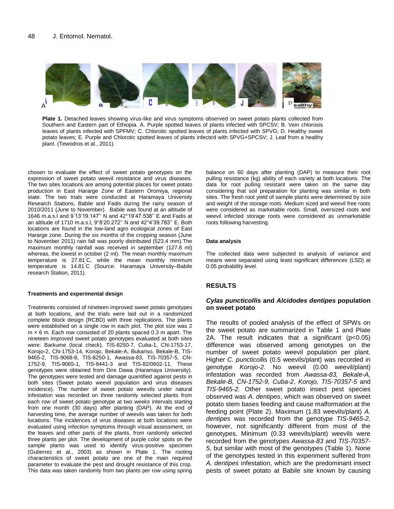

**Plate 1.** Detached leaves showing virus-like and virus symptoms observed on sweet potato plants collected from Southern and Eastern part of Ethiopia. A. Purple spotted leaves of plants infected with SPCSV; B. Vein chlorosis leaves of plants infected with SPFMV; C. Chlorotic spotted leaves of plants infected with SPVG; D. Healthy sweet potato leaves; E. Purple and Chlorotic spotted leaves of plants infected with SPVG+SPCSV; J. Leaf from a healthy plant. (Tewodros et al., 2011).

chosen to evaluate the effect of sweet potato genotypes on the expression of sweet potato weevil resistance and virus diseases. The two sites locations are among potential places for sweet potato production in East Hararge Zone of Eastern Oromiya, regional state. The two trials were conducted at Haramaya University Research Stations, Babile and Fadis during the rainy season of 2010/2011 (June to November). Babile was found at an altitude of 1646 m.a.s.l and 9° 13'19.147'' N and 42°19'47.538'' E and Fadis at an altitude of 1710 m.a.s.l, 9°8'20.272'' N and 42°4'39.783'' E. Both locations are found in the low-land agro ecological zones of East Hararge zone. During the six months of the cropping season (June to November 2011) rain fall was poorly distributed (523.4 mm).The maximum monthly rainfall was received in september (127.8 ml) whereas, the lowest in october (2 ml). The mean monthly maximum temperature is 27.81°C, while the mean monthly minimum temperature is 14.81°C (Source: Haramaya University–Babile research Station, 2011).

#### **Treatments and experimental design**

Treatments consisted of nineteen improved sweet potato genotypes at both locations, and the trials were laid out in a randomized complete block design (RCBD) with three replications. The plants were established on a single row in each plot. The plot size was 2  $m \times 6$  m. Each row consisted of 20 plants spaced 0.3 m apart. The nineteen improved sweet potato genotypes evaluated at both sites were: Barkume (local check), TIS-8250-7, Cuba-1, CN-1753-17, Korojo-2, CN-1753-14, Korojo, Bekale-A, Bukariso, Bekale-B, TIS-9465-2, TIS-9068-8, TIS-8250-1, Awassa-83, TIS-70357-5, CN-1752-9, TIS-9065-1, TIS-8441-3 and TIS-82/0602-11. These genotypes were obtained from Dire Dawa (Haramaya University). The genotypes were tested and damage quantified against pests in both sites (Sweet potato weevil population and virus diseases incidence). The number of sweet potato weevils under natural infestation was recorded on three randomly selected plants from each row of sweet potato genotype at two weeks intervals starting from one month (30 days) after planting (DAP). At the end of harvesting time, the average number of weevils was taken for both locations. The incidences of virus diseases at both locations were evaluated using infection symptoms through visual assessment, on the leaves and other parts of the plants, from randomly selected three plants per plot. The development of purple color spots on the sample plants was used to identify virus-positive specimen (Gutierrez et al., 2003) as shown in Plate 1. The rooting characteristics of sweet potato are one of the main required parameter to evaluate the pest and drought resistance of this crop. This data was taken randomly from two plants per row using spring

balance on 60 days after planting (DAP) to measure their root pulling resistance (kg) ability of each variety at both locations. The data for root pulling resistant were taken on the same day considering that soil preparation for planting was similar in both sites. The fresh root yield of sample plants were determined by size and weight of the storage roots. Medium sized and weevil free roots were considered as marketable roots. Small, oversized roots and weevil infected storage roots were considered as unmarketable roots following harvesting.

#### **Data analysis**

The collected data were subjected to analysis of variance and means were separated using least significant differences (LSD) at 0.05 probability level.

#### **RESULTS**

### *Cylas puncticollis* **and** *Alcidodes dentipes* **population on sweet potato**

The results of pooled analysis of the effect of SPWs on the sweet potato are summarized in Table 1 and Plate 2A. The result indicates that a significant (p<0.05) difference was observed among genotypes on the number of sweet potato weevil population per plant. Higher *C. puncticollis* (0.5 weevils/plant) was recorded in genotype *Korojo-2.* No weevil (0.00 weevil/plant) infestation was recorded from *Awassa-83, Bekale-A, Bekale-B, CN-1752-9, Cuba-2*, *Korojo, TIS-70357-5* and *TIS-9465-2.* Other sweet potato insect pest species observed was *A. dentipes*, which was observed on sweet potato stem bases feeding and cause malformation at the feeding point (Plate 2). Maximum (1.83 weevils/plant) *A. dentipes* was recorded from the genotype *TIS-9465-2,* however, not significantly different from most of the genotypes. Minimum (0.33 weevils/plant) weevils were recorded from the genotypes *Awassa-83* and *TIS-70357- 5,* but similar with most of the genotypes (Table 1). None of the genotypes tested in this experiment suffered from *A. dentipes* infestation, which are the predominant insect pests of sweet potato at Babile site known by causing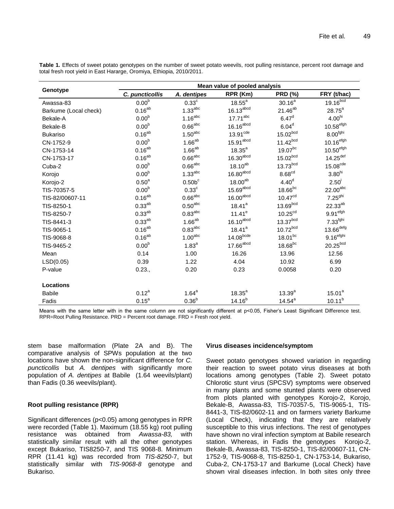| Genotype              | Mean value of pooled analysis |                       |                         |                       |                         |  |
|-----------------------|-------------------------------|-----------------------|-------------------------|-----------------------|-------------------------|--|
|                       | C. puncticollis               | A. dentipes           | RPR (Km)                | <b>PRD (%)</b>        | FRY (t/hac)             |  |
| Awassa-83             | 0.00 <sup>b</sup>             | $0.33^c$              | $18.55^{\circ}$         | $30.16^{a}$           | 19.16 <sup>bcd</sup>    |  |
| Barkume (Local check) | $0.16^{ab}$                   | $1.33^{abc}$          | $16.13$ <sup>abcd</sup> | $21.46^{ab}$          | $28.75^{\circ}$         |  |
| Bekale-A              | 0.00 <sup>b</sup>             | $1.16^{\text{abc}}$   | 17.71 <sup>abc</sup>    | 6.47 <sup>d</sup>     | 4.00 <sup>hi</sup>      |  |
| Bekale-B              | 0.00 <sup>b</sup>             | $0.66^{\text{abc}}$   | $16.16$ <sup>abcd</sup> | 6.04 <sup>d</sup>     | $10.58$ <sup>efgh</sup> |  |
| <b>Bukariso</b>       | $0.16^{ab}$                   | 1.50 <sup>abc</sup>   | $13.91$ <sup>cde</sup>  | 15.02 <sup>bcd</sup>  | $8.00^{fghi}$           |  |
| CN-1752-9             | 0.00 <sup>b</sup>             | $1.66^{ab}$           | 15.91 <sup>abcd</sup>   | 11.42 <sup>bcd</sup>  | $10.16$ <sup>efgh</sup> |  |
| CN-1753-14            | $0.16^{ab}$                   | $1.66^{ab}$           | $18.35^{a}$             | $19.07^{bc}$          | 10.50 <sup>efgh</sup>   |  |
| CN-1753-17            | $0.16^{ab}$                   | $0.66$ abc            | 16.30 <sup>abcd</sup>   | 15.02 <sup>bcd</sup>  | $14.25$ <sup>def</sup>  |  |
| Cuba-2                | 0.00 <sup>b</sup>             | $0.66$ abc            | $18.10^{ab}$            | $13.73$ bcd           | 15.08 <sup>cde</sup>    |  |
| Korojo                | 0.00 <sup>b</sup>             | 1.33 <sup>abc</sup>   | 16.80 <sup>abcd</sup>   | 8.68 <sup>cd</sup>    | 3.80 <sup>hi</sup>      |  |
| Korojo-2              | 0.50 <sup>a</sup>             | 0.50 <sup>c</sup>     | 18.00 <sup>ab</sup>     | 4.40 <sup>d</sup>     | 2.50 <sup>1</sup>       |  |
| TIS-70357-5           | 0.00 <sup>b</sup>             | $0.33^{\circ}$        | $15.69$ <sup>abcd</sup> | $18.66$ <sub>bc</sub> | 22.00 <sup>abc</sup>    |  |
| TIS-82/00607-11       | $0.16^{ab}$                   | $0.66$ <sup>abc</sup> | 16.00 <sup>abcd</sup>   | 10.47 <sup>cd</sup>   | 7.25 <sup>ghi</sup>     |  |
| TIS-8250-1            | $0.33^{ab}$                   | $0.50^{\rm abc}$      | $18.41^a$               | 13.69 <sup>bcd</sup>  | $22.33^{ab}$            |  |
| TIS-8250-7            | $0.33^{ab}$                   | $0.83^{\rm abc}$      | $11.41^e$               | 10.25 <sup>cd</sup>   | 9.91 <sup>efgh</sup>    |  |
| TIS-8441-3            | $0.33^{ab}$                   | $1.66^{ab}$           | $16.10^{\text{abcd}}$   | $13.37$ bcd           | 7.33 <sup>fghi</sup>    |  |
| TIS-9065-1            | $0.16^{ab}$                   | 0.83 <sup>abc</sup>   | $18.41^a$               | 10.72 <sup>bcd</sup>  | $13.66$ <sup>defg</sup> |  |
| TIS-9068-8            | $0.16^{ab}$                   | 1.00 <sup>abc</sup>   | 14.08 <sup>bcde</sup>   | $18.01^{bc}$          | $9.16$ <sup>efghi</sup> |  |
| TIS-9465-2            | 0.00 <sup>b</sup>             | $1.83^{a}$            | $17.66$ <sup>abcd</sup> | $18.68$ <sub>bc</sub> | $20.25$ <sub>bcd</sub>  |  |
| Mean                  | 0.14                          | 1.00                  | 16.26                   | 13.96                 | 12.56                   |  |
| LSD(0.05)             | 0.39                          | 1.22                  | 4.04                    | 10.92                 | 6.99                    |  |
| P-value               | 0.23.,                        | 0.20                  | 0.23                    | 0.0058                | 0.20                    |  |
| <b>Locations</b>      |                               |                       |                         |                       |                         |  |
| <b>Babile</b>         | $0.12^{a}$                    | $1.64^a$              | $18.35^{a}$             | $13.39^{a}$           | 15.01 <sup>a</sup>      |  |
| Fadis                 | $0.15^a$                      | 0.36 <sup>b</sup>     | $14.16^{b}$             | $14.54^a$             | $10.11^{b}$             |  |

**Table 1.** Effects of sweet potato genotypes on the number of sweet potato weevils, root pulling resistance, percent root damage and total fresh root yield in East Hararge, Oromiya, Ethiopia, 2010/2011.

Means with the same letter with in the same column are not significantly different at p<0.05, Fisher's Least Significant Difference test. RPR=Root Pulling Resistance. PRD = Percent root damage. FRD = Fresh root yield.

stem base malformation (Plate 2A and B). The comparative analysis of SPWs population at the two locations have shown the non-significant difference for *C. puncticollis* but *A. dentipes* with significantly more population of *A. dentipes* at Babile (1.64 weevils/plant) than Fadis (0.36 weevils/plant).

# **Root pulling resistance (RPR)**

Significant differences (p<0.05) among genotypes in RPR were recorded (Table 1). Maximum (18.55 kg) root pulling resistance was obtained from *Awassa-83,* with statistically similar result with all the other genotypes except Bukariso, TIS8250-7, and TIS 9068-8*.* Minimum RPR (11.41 kg) was recorded from *TIS-8250-*7, but statistically similar with *TIS-9068-8* genotype and Bukariso.

### **Virus diseases incidence/symptom**

Sweet potato genotypes showed variation in regarding their reaction to sweet potato virus diseases at both locations among genotypes (Table 2). Sweet potato Chlorotic stunt virus (SPCSV) symptoms were observed in many plants and some stunted plants were observed from plots planted with genotypes Korojo-2, Korojo, Bekale-B, Awassa-83, TIS-70357-5, TIS-9065-1, TIS-8441-3, TIS-82/0602-11 and on farmers variety Barkume (Local Check), indicating that they are relatively susceptible to this virus infections. The rest of genotypes have shown no viral infection symptom at Babile research station. Whereas, in Fadis the genotypes Korojo-2, Bekale-B, Awassa-83, TIS-8250-1, TIS-82/00607-11, CN-1752-9, TIS-9068-8, TIS-8250-1, CN-1753-14, Bukariso, Cuba-2, CN-1753-17 and Barkume (Local Check) have shown viral diseases infection. In both sites only three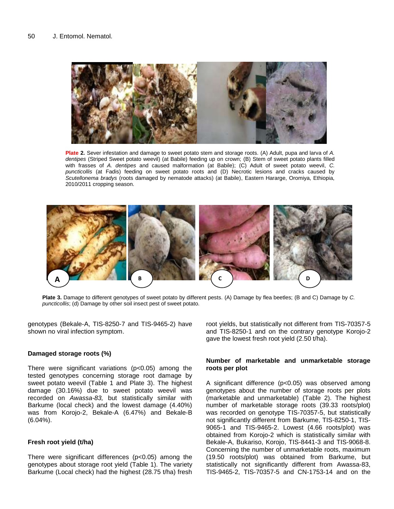

**Plate 2.** Sever infestation and damage to sweet potato stem and storage roots. (A) Adult, pupa and larva of *A. dentipes* (Striped Sweet potato weevil) (at Babile) feeding up on crown; (B) Stem of sweet potato plants filled with frasses of *A. dentipes* and caused malformation (at Babile); (C) Adult of sweet potato weevil, *C. puncticollis* (at Fadis) feeding on sweet potato roots and (D) Necrotic lesions and cracks caused by *Scutellonema bradys* (roots damaged by nematode attacks) (at Babile), Eastern Hararge, Oromiya, Ethiopia, 2010/2011 cropping season.



**Plate 3.** Damage to different genotypes of sweet potato by different pests. (A) Damage by flea beetles; (B and C) Damage by *C. puncticollis*; (d) Damage by other soil insect pest of sweet potato.

genotypes (Bekale-A, TIS-8250-7 and TIS-9465-2) have shown no viral infection symptom.

### **Damaged storage roots (%)**

There were significant variations (p<0.05) among the tested genotypes concerning storage root damage by sweet potato weevil (Table 1 and Plate 3). The highest damage (30.16%) due to sweet potato weevil was recorded on *Awassa-83,* but statistically similar with Barkume (local check) and the lowest damage (4.40%) was from Korojo-2, Bekale-A (6.47%) and Bekale-B (6.04%).

### **Fresh root yield (t/ha)**

There were significant differences (p<0.05) among the genotypes about storage root yield (Table 1). The variety Barkume (Local check) had the highest (28.75 t/ha) fresh

root yields, but statistically not different from TIS-70357-5 and TIS-8250-1 and on the contrary genotype Korojo-2 gave the lowest fresh root yield (2.50 t/ha).

### **Number of marketable and unmarketable storage roots per plot**

A significant difference (p<0.05) was observed among genotypes about the number of storage roots per plots (marketable and unmarketable) (Table 2). The highest number of marketable storage roots (39.33 roots/plot) was recorded on genotype TIS-70357-5, but statistically not significantly different from Barkume, TIS-8250-1, TIS-9065-1 and TIS-9465-2. Lowest (4.66 roots/plot) was obtained from Korojo-2 which is statistically similar with Bekale-A, Bukariso, Korojo, TIS-8441-3 and TIS-9068-8. Concerning the number of unmarketable roots, maximum (19.50 roots/plot) was obtained from Barkume, but statistically not significantly different from Awassa-83, TIS-9465-2, TIS-70357-5 and CN-1753-14 and on the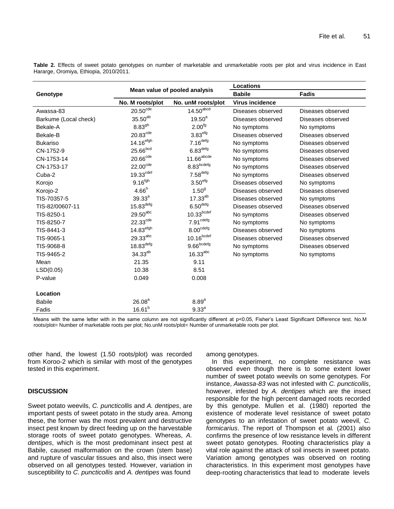|                       | Mean value of pooled analysis |                         | Locations              |                   |  |
|-----------------------|-------------------------------|-------------------------|------------------------|-------------------|--|
| Genotype              |                               |                         | <b>Babile</b>          | <b>Fadis</b>      |  |
|                       | No. M roots/plot              | No. unM roots/plot      | <b>Virus incidence</b> |                   |  |
| Awassa-83             | $20.50^{\text{cde}}$          | $14.50$ <sup>abcd</sup> | Diseases observed      | Diseases observed |  |
| Barkume (Local check) | 35.50 <sup>ab</sup>           | $19.50^{a}$             | Diseases observed      | Diseases observed |  |
| Bekale-A              | 8.83 <sup>gh</sup>            | 2.00 <sup>fg</sup>      | No symptoms            | No symptoms       |  |
| Bekale-B              | 20.83 <sup>cde</sup>          | 3.83 <sup>efg</sup>     | Diseases observed      | Diseases observed |  |
| <b>Bukariso</b>       | $14.16$ <sup>efgh</sup>       | $7.16$ <sup>defg</sup>  | No symptoms            | Diseases observed |  |
| CN-1752-9             | $25.66$ <sub>bcd</sub>        | 6.83 <sup>defg</sup>    | No symptoms            | Diseases observed |  |
| CN-1753-14            | $20.66$ <sup>cde</sup>        | $11.66^{\text{abcde}}$  | No symptoms            | Diseases observed |  |
| CN-1753-17            | $22.00^{\text{cde}}$          | 8.83 <sub>bcdefg</sub>  | No symptoms            | Diseases observed |  |
| Cuba-2                | 19.33 <sup>cdef</sup>         | $7.58$ <sup>defg</sup>  | No symptoms            | Diseases observed |  |
| Korojo                | $9.16^{fgh}$                  | 3.50 <sup>efg</sup>     | Diseases observed      | No symptoms       |  |
| Korojo-2              | 4.66 <sup>h</sup>             | 1.50 <sup>9</sup>       | Diseases observed      | Diseases observed |  |
| TIS-70357-5           | $39.33^{a}$                   | $17.33^{ab}$            | Diseases observed      | No symptoms       |  |
| TIS-82/00607-11       | $15.83$ <sup>defg</sup>       | 6.50 <sup>defg</sup>    | Diseases observed      | Diseases observed |  |
| TIS-8250-1            | $29.50$ <sup>abc</sup>        | 10.33 <sub>bcdef</sub>  | No symptoms            | Diseases observed |  |
| TIS-8250-7            | $22.33$ <sup>cde</sup>        | 7.91 <sup>cdefg</sup>   | No symptoms            | No symptoms       |  |
| TIS-8441-3            | $14.83$ <sup>efgh</sup>       | $8.00^{\text{cdefg}}$   | Diseases observed      | No symptoms       |  |
| TIS-9065-1            | $29.33^{abc}$                 | $10.16^{\text{bcdef}}$  | Diseases observed      | Diseases observed |  |
| TIS-9068-8            | $18.83$ <sup>defg</sup>       | $9.66^{bcdefg}$         | No symptoms            | Diseases observed |  |
| TIS-9465-2            | 34.33 <sup>ab</sup>           | $16.33$ <sup>abc</sup>  | No symptoms            | No symptoms       |  |
| Mean                  | 21.35                         | 9.11                    |                        |                   |  |
| LSD(0.05)             | 10.38                         | 8.51                    |                        |                   |  |
| P-value               | 0.049                         | 0.008                   |                        |                   |  |
|                       |                               |                         |                        |                   |  |
| Location              |                               |                         |                        |                   |  |
| <b>Babile</b>         | 26.08 <sup>a</sup>            | 8.89 <sup>a</sup>       |                        |                   |  |
| Fadis                 | $16.61^{b}$                   | 9.33 <sup>a</sup>       |                        |                   |  |

**Table 2.** Effects of sweet potato genotypes on number of marketable and unmarketable roots per plot and virus incidence in East Hararge, Oromiya, Ethiopia, 2010/2011.

Means with the same letter with in the same column are not significantly different at p<0.05. Fisher's Least Significant Difference test. No.M roots/plot= Number of marketable roots per plot; No.unM roots/plot= Number of unmarketable roots per plot.

other hand, the lowest (1.50 roots/plot) was recorded from Koroo-2 which is similar with most of the genotypes tested in this experiment.

# **DISCUSSION**

Sweet potato weevils, *C. puncticollis* and *A. dentipes*, are important pests of sweet potato in the study area. Among these, the former was the most prevalent and destructive insect pest known by direct feeding up on the harvestable storage roots of sweet potato genotypes. Whereas, *A. dentipes*, which is the most predominant insect pest at Babile, caused malformation on the crown (stem base) and rupture of vascular tissues and also, this insect were observed on all genotypes tested. However, variation in susceptibility to *C. puncticollis* and *A. dentipes* was found

among genotypes.

In this experiment, no complete resistance was observed even though there is to some extent lower number of sweet potato weevils on some genotypes. For instance, *Awassa-83* was not infested with *C. puncticollis*, however, infested by *A. dentipes* which are the insect responsible for the high percent damaged roots recorded by this genotype. Mullen et al. (1980) reported the existence of moderate level resistance of sweet potato genotypes to an infestation of sweet potato weevil, *C. formicarius*. The report of Thompson et al*.* (2001) also confirms the presence of low resistance levels in different sweet potato genotypes. Rooting characteristics play a vital role against the attack of soil insects in sweet potato. Variation among genotypes was observed on rooting characteristics. In this experiment most genotypes have deep-rooting characteristics that lead to moderate levels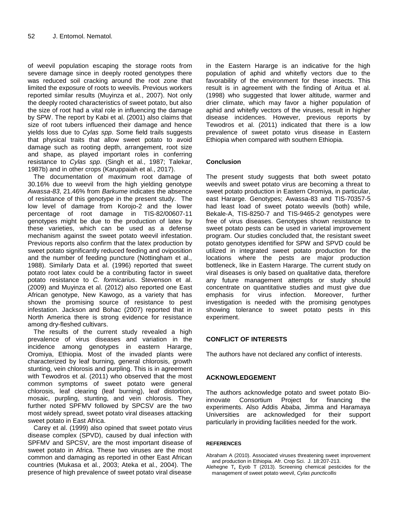of weevil population escaping the storage roots from severe damage since in deeply rooted genotypes there was reduced soil cracking around the root zone that limited the exposure of roots to weevils. Previous workers reported similar results (Muyinza et al., 2007). Not only the deeply rooted characteristics of sweet potato, but also the size of root had a vital role in influencing the damage by SPW. The report by Kabi et al. (2001) also claims that size of root tubers influenced their damage and hence yields loss due to *Cylas spp*. Some field trails suggests that physical traits that allow sweet potato to avoid damage such as rooting depth, arrangement, root size and shape, as played important roles in conferring resistance to *Cylas spp*. (Singh et al., 1987; Talekar, 1987b) and in other crops (Karuppaiah et al., 2017).

The documentation of maximum root damage of 30.16% due to weevil from the high yielding genotype *Awassa-83*, 21.46% from *Barkume* indicates the absence of resistance of this genotype in the present study. The low level of damage from Korojo-2 and the lower percentage of root damage in TIS-82/00607-11 genotypes might be due to the production of latex by these varieties, which can be used as a defense mechanism against the sweet potato weevil infestation. Previous reports also confirm that the latex production by sweet potato significantly reduced feeding and oviposition and the number of feeding puncture (Nottingham et al., 1988). Similarly Data et al. (1996) reported that sweet potato root latex could be a contributing factor in sweet potato resistance to *C. formicarius*. Stevenson et al. (2009) and Muyinza et al. (2012) also reported one East African genotype, New Kawogo, as a variety that has shown the promising source of resistance to pest infestation. Jackson and Bohac (2007) reported that in North America there is strong evidence for resistance among dry-fleshed cultivars.

The results of the current study revealed a high prevalence of virus diseases and variation in the incidence among genotypes in eastern Hararge, Oromiya, Ethiopia. Most of the invaded plants were characterized by leaf burning, general chlorosis, growth stunting, vein chlorosis and purpling. This is in agreement with Tewodros et al. (2011) who observed that the most common symptoms of sweet potato were general chlorosis, leaf clearing (leaf burning), leaf distortion, mosaic, purpling, stunting, and vein chlorosis. They further noted SPFMV followed by SPCSV are the two most widely spread, sweet potato viral diseases attacking sweet potato in East Africa.

Carey et al. (1999) also opined that sweet potato virus disease complex (SPVD), caused by dual infection with SPFMV and SPCSV, are the most important disease of sweet potato in Africa. These two viruses are the most common and damaging as reported in other East African countries (Mukasa et al., 2003; Ateka et al., 2004). The presence of high prevalence of sweet potato viral disease in the Eastern Hararge is an indicative for the high population of aphid and whitefly vectors due to the favorability of the environment for these insects. This result is in agreement with the finding of Aritua et al. (1998) who suggested that lower altitude, warmer and drier climate, which may favor a higher population of aphid and whitefly vectors of the viruses, result in higher disease incidences. However, previous reports by Tewodros et al. (2011) indicated that there is a low prevalence of sweet potato virus disease in Eastern Ethiopia when compared with southern Ethiopia.

## **Conclusion**

The present study suggests that both sweet potato weevils and sweet potato virus are becoming a threat to sweet potato production in Eastern Oromiya, in particular, east Hararge. Genotypes; Awassa-83 and TIS-70357-5 had least load of sweet potato weevils (both) while, Bekale-A, TIS-8250-7 and TIS-9465-2 genotypes were free of virus diseases. Genotypes shown resistance to sweet potato pests can be used in varietal improvement program. Our studies concluded that, the resistant sweet potato genotypes identified for SPW and SPVD could be utilized in integrated sweet potato production for the locations where the pests are major production bottleneck, like in Eastern Hararge. The current study on viral diseases is only based on qualitative data, therefore any future management attempts or study should concentrate on quantitative studies and must give due emphasis for virus infection. Moreover, further investigation is needed with the promising genotypes showing tolerance to sweet potato pests in this experiment.

# **CONFLICT OF INTERESTS**

The authors have not declared any conflict of interests.

### **ACKNOWLEDGEMENT**

The authors acknowledge potato and sweet potato Bioinnovate Consortium Project for financing the experiments. Also Addis Ababa, Jimma and Haramaya Universities are acknowledged for their support particularly in providing facilities needed for the work.

#### **REFERENCES**

Abraham A (2010). Associated viruses threatening sweet improvement and production in Ethiopia. Afr. Crop Sci. J. 18:207-213.

Alehegne T**,** Eyob T (2013). Screening chemical pesticides for the management of sweet potato weevil, *Cylas puncticollis*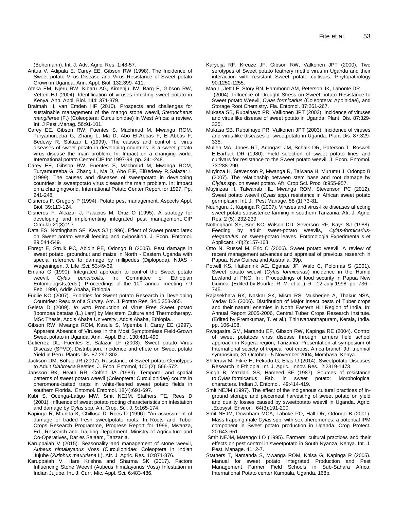(Bohemann). Int. J. Adv. Agric. Res. 1:48-57.

- Aritua V, Adipala E, Carey EE, Gibson RW (1998). The Incidence of Sweet potato Virus Disease and Virus Resistance of Sweet potato Grown in Uganda. Ann. Appl. Biol. 132:399- 411.
- Ateka EM, Njeru RW, Kibaru AG, Kimenju JW, Barg E, Gibson RW, Vetten HJ (2004). Identification of viruses infecting sweet potato in Kenya. Ann. Appl. Biol. 144: 371-379.
- Braimah H, van Emden HF (2010). [Prospects and challenges for](http://www.tandfonline.com/doi/full/10.1080/09670870903174312)  [sustainable management of the mango stone weevil,](http://www.tandfonline.com/doi/full/10.1080/09670870903174312) *Sternochetus mangiferae* [\(F.\) \(Coleoptera: Curculionidae\) in West Africa: a review.](http://www.tandfonline.com/doi/full/10.1080/09670870903174312)  Int. J Pest .Manag. 56:91-101.
- Carey EE, Gibson RW, Fuentes S, Machmud M, Mwanga ROM, Turyamureeba G, Zhang L, Ma D, Abo El-Abbas F, El-Abbas F, Bedewy R, Salazar L (1999). The causes and control of virus diseases of sweet potato in developing countries: is a sweet potato virus disease the main problem. In: Impact on a changing world. International potato Center CIP for 1997-98. pp. 241-248.
- Carey EE, Gibson RW, Fuentes S, Machmud M, Mwanga ROM, Turyamureeba G, Zhang L, Ma D, Abo ElF, ElBedewy R,Salazar L (1999). The causes and diseases of sweetpotato in developing countries: is sweetpotato virus disease the main problem. In: Impact on a changingworld. International Potato Center Report for 1997. Pp. 241-248.
- Cisneros F, Gregory P (1994). Potato pest management. Aspects Appl. Biol. 39:113-124.
- Cisneros F, Alcazar J, Palacios M, Ortiz O (1995). A strategy for developing and implementing integrated pest management. CIP Circular 21(3):2-7.
- Data ES, Nottingham SF, Kays SJ (1996). Effect of Sweet potato latex on Sweet potato weevil feeding and oviposition. J. Econ. Entomol. 89:544-549.
- Ebregt E, Struik PC, Abidin PE, Odongo B (2005). Pest damage in sweet potato, groundnut and maize in North - Eastern Uganda with special reference to damage by millipedes (Diplopoda). NJAS - Wageningen. J. Life .Sci. 53:49-69.
- Emana G (1990). Integrated approach to control the Sweet potato weevil, *Cylas puncticollis.* In: Committee of Ethiopian Entomologists, (eds.). Proceedings of the  $10<sup>th</sup>$  annual meeting  $7-9$ Feb. 1990, Addis Ababa, Ethiopia.
- Fuglie KO (2007). Priorities for Sweet potato Research in Developing Countries: Results of a Survey. Am. J. Potato Res. 84.5:353-365.
- Geleta D (2009). *In vitro* Production of Virus Free Sweet potato [Ipomoea batatas (L.) Lam] by Meristem Culture and Thermotherapy. MSc Thesis, Addis Ababa University, Addis Ababa, Ethiopia.,
- Gibson RW, Mwanga ROM, Kasule S, Mpembe I, Carey EE (1997). Apparent Absence of Viruses in the Most Symptomless Field-Grown Sweet potato in Uganda. Ann. Appl. Biol. 130:481-490.
- Gutierrez DL, Fuentes S, Salazar LF (2003). Sweet potato Virus Disease (SPVD): Distribution. Incidence and effete on Sweet potato Yield in Peru. Plants Dis. 87:297-302.
- Jackson DM, Bohac JR (2007). Resistance of Sweet potato Genotypes to Adult *Diabrotica* Beetles. J. Econ. Entomol, 100 (2): 566-572.
- Jansson RK, Heath RR, Coffelt JA (1989). Temporal and spatial patterns of sweet potato weevil (Coleoptera: Curculionidae) counts in pheromone-baited traps in white-fleshed sweet potato fields in southern Florida. Entomol. Entomol. 18(4):691-697.
- Kabi S, Ocenga-Latigo MW, Smit NEJM, Stathers TE, Rees D (2001). Influence of sweet potato rooting characteristics on infestation and damage by *Cylas* spp. Afr. Crop. Sci. J. 9:165-174.
- Kapinga R, Mtunda K, Chillosa D, Rees D (1996). "An assessment of damage of traded fresh sweetpotato roots. In: Roots and Tuber Crops Research Programme, Progress Report for 1996, Mwanza, Ed., Research and Training Department, Ministry of Agriculture and Co-Operatives, Dar es Salaam, Tanzania.
- Karuppaiah V (2015). Seasonality and management of stone weevil, *Aubeus himalayanus* Voss (Curculionidae: Coleoptera in Indian Jujube (*Ziziphus mauritiana* L). Afr. J Agric. Res. 10:871-876.
- Karuppaiah V, Hare Krishna and Sharma SK (2017). Factors Influencing Stone Weevil (Aubeus himalayanus Voss) Infestation in Indian Jujube. Int. J. Curr. Mic. Appl. Sci. 6:483-486.
- Karyeija RF, Kreuze JF, Gibson RW, Valkonen JPT (2000). Two serotypes of Sweet potato feathery mottle virus in Uganda and their interaction with resistant Sweet potato cultivars. Phytopathology 90:1250-1255.
- Mao L, Jett LE, Story RN, Hammond AM, Peterson JK, Labonte DR (2004). Influence of Drought Stress on Sweet potato Resistance to Sweet potato Weevil, *Cylas formicarius* (Coleoptera: Apoinidae), and Storage Root Chemistry. Fla. Entomol. 87:261-267.
- Mukasa SB, Rubaihayo PR, Valkonen JPT (2003). Incidence of viruses and virus like disease of sweet potato in Uganda. Plant Dis. 87:329- 335.
- Mukasa SB, Rubaihayo PR, Valkonen JPT (2003). Incidence of viruses and virus-like diseases of sweetpotato in Uganda. Plant Dis. 87:329- 335.
- Mullen MA, Jones RT, Arbogast JM, Schalk DR, Paterson T, Boswell E,Earhart DR (1980). Field selection of sweet potato lines and cultivars for resistance to the Sweet potato weevil. J. Econ. Entomol. 73:288-290.
- Muyinza H, Stevenson P, Mwanga R, Talwana H, Murumu J, Odongo B (2007). The relationship between stem base and root damage by *Clylas* spp. on sweet potato. Afr. Crop Sci. Proc. 8:955-957.
- Muyinzaa H, Talwanab HL, Mwanga ROM, Stevenson PC (2012). Sweet potato weevil (*Cylas* spp.) resistance in African sweet potato germplasm. Int. J. Pest Manage. 58 (1):73-81.
- Ndunguru J, Kapinga R (2007). Viruses and virus-like diseases affecting sweet potato subsistence farming in southern Tanzania. Afr. J. Agric. Res. 2 (5): 232-239
- Nottingham SF, Son KC, Wilson DD, Severson RF, Kays SJ (1988). Feeding by adult sweet-potato weevils, *Cylas-formicariuselegantulus*, on sweet-potato leaves. Entomologia Experimentalis et Applicant. 48(2):157-163.
- Otto N, Russel M, Eric C (2006). Sweet potato weevil. A review of recent management advances and appraisal of previous research in Papua. New Guinea and Australia. 39p.
- Powell KS, Hatlemink AE, Eganae JF, Walo C, Polomas S (2001). Sweet potato weevil (*Cylas formicarius*) incidence in the Humid Lowland of PNG. In : Proceedings of food security in Papua New Guinea. (Edited by Bourke, R. M. et.al.,). 6 - 12 July 1998. pp. 736 - 745.
- Rajasekhara RK, Naskar SK, Misra RS, Mukherjee A, Thakur NSA, Yadav DS (2006). Distribution of Major insect pests of Tuber crops and their natural enemies in North Eastern Hill Region of India. In: Annual Report 2005-2006, Central Tuber Crops Research Institute. (Edited by Premkumar, T. et al.), Thiruvananthapuram, Kerala, India. pp. 106-108.
- Rwegasira GM, Marandu EF, Gibson RW, Kapinga RE (2004). Control of sweet potatoes virus disease through farmers field school approach in Kagera region, Tanzania. Presentation at symposium of International society of tropical root crops, Africa branch 9th triennial symposium, 31 October - 5 November 2004, Mombasa, Kenya.
- Shiferaw M, Fikre H, Fekadu G, Elias U (2014). Sweetpotato Diseases Research in Ethiopia. Int. J. Agric. Innov. Res.2:2319-1473.
- Singh B, Yazdani SS, Hameed SF (1987). Sources of resistance to *Cylas* formicarius Fab. in sweet potato: Morphological characters. Indian J. Entomol. 49:414-419.
- Smit NEJM (1997). The effect of the indigenous cultural practices of inground storage and piecemeal harvesting of sweet potato on yield and quality losses caused by sweetpotato weevil in Uganda. Agric. ,Ecosyst. Environ*.* 64(3):191-200.
- Smit NEJM, Downham MCA, Laboke PO, Hall DR, Odongo B (2001). Mass trapping male *Cylas* spp. with sex pheromones: a potential IPM component in Sweet potato production in Uganda. Crop Protect. 20:643-651.
- [Smit](http://www.tandfonline.com/author/Smit%2C+N+E+J+M) NEJM, [Matengo](http://www.tandfonline.com/author/Matengo%2C+L+O) LO (1995). Farmers' cultural practices and their effects on pest control in sweetpotato in South Nyanza, Kenya. Int. J. Pest. Manage. 41: 2-7.
- Stathers T, Namanda S, Mwanga ROM, Khisa G, Kapinga R (2005). Manual for sweet potato Integrated Production and Pest Management Farmer Field Schools in Sub-Sahara Africa. International Potato center Kampala, Uganda. 168p.